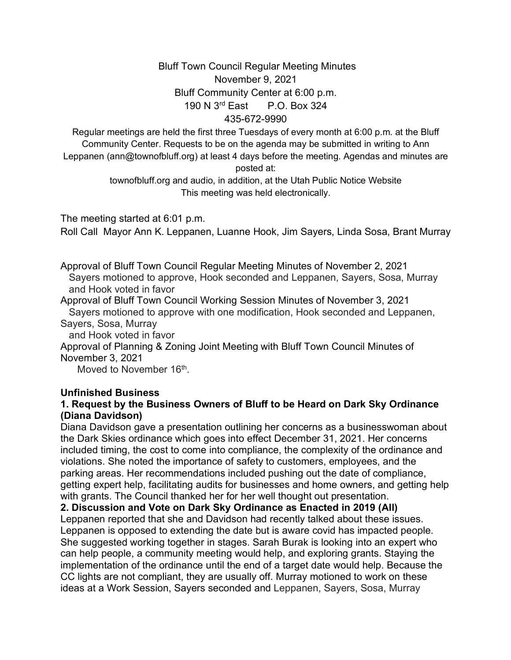## Bluff Town Council Regular Meeting Minutes November 9, 2021 Bluff Community Center at 6:00 p.m. 190 N 3rd East P.O. Box 324 435-672-9990

Regular meetings are held the first three Tuesdays of every month at 6:00 p.m. at the Bluff Community Center. Requests to be on the agenda may be submitted in writing to Ann Leppanen (ann@townofbluff.org) at least 4 days before the meeting. Agendas and minutes are posted at:

> townofbluff.org and audio, in addition, at the Utah Public Notice Website This meeting was held electronically.

The meeting started at 6:01 p.m.

Roll Call Mayor Ann K. Leppanen, Luanne Hook, Jim Sayers, Linda Sosa, Brant Murray

Approval of Bluff Town Council Regular Meeting Minutes of November 2, 2021 Sayers motioned to approve, Hook seconded and Leppanen, Sayers, Sosa, Murray and Hook voted in favor

Approval of Bluff Town Council Working Session Minutes of November 3, 2021 Sayers motioned to approve with one modification, Hook seconded and Leppanen, Sayers, Sosa, Murray

and Hook voted in favor

Approval of Planning & Zoning Joint Meeting with Bluff Town Council Minutes of November 3, 2021

Moved to November 16<sup>th</sup>.

#### **Unfinished Business**

#### **1. Request by the Business Owners of Bluff to be Heard on Dark Sky Ordinance (Diana Davidson)**

Diana Davidson gave a presentation outlining her concerns as a businesswoman about the Dark Skies ordinance which goes into effect December 31, 2021. Her concerns included timing, the cost to come into compliance, the complexity of the ordinance and violations. She noted the importance of safety to customers, employees, and the parking areas. Her recommendations included pushing out the date of compliance, getting expert help, facilitating audits for businesses and home owners, and getting help with grants. The Council thanked her for her well thought out presentation.

**2. Discussion and Vote on Dark Sky Ordinance as Enacted in 2019 (All)**

Leppanen reported that she and Davidson had recently talked about these issues. Leppanen is opposed to extending the date but is aware covid has impacted people. She suggested working together in stages. Sarah Burak is looking into an expert who can help people, a community meeting would help, and exploring grants. Staying the implementation of the ordinance until the end of a target date would help. Because the CC lights are not compliant, they are usually off. Murray motioned to work on these ideas at a Work Session, Sayers seconded and Leppanen, Sayers, Sosa, Murray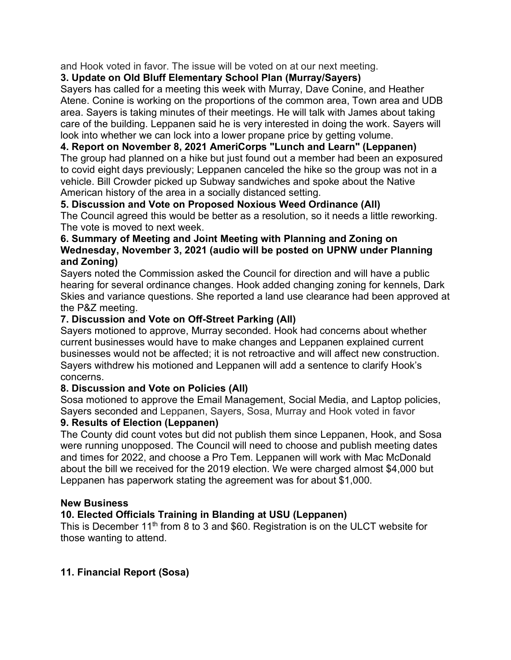and Hook voted in favor. The issue will be voted on at our next meeting.

## **3. Update on Old Bluff Elementary School Plan (Murray/Sayers)**

Sayers has called for a meeting this week with Murray, Dave Conine, and Heather Atene. Conine is working on the proportions of the common area, Town area and UDB area. Sayers is taking minutes of their meetings. He will talk with James about taking care of the building. Leppanen said he is very interested in doing the work. Sayers will look into whether we can lock into a lower propane price by getting volume.

# **4. Report on November 8, 2021 AmeriCorps "Lunch and Learn" (Leppanen)**

The group had planned on a hike but just found out a member had been an exposured to covid eight days previously; Leppanen canceled the hike so the group was not in a vehicle. Bill Crowder picked up Subway sandwiches and spoke about the Native American history of the area in a socially distanced setting.

### **5. Discussion and Vote on Proposed Noxious Weed Ordinance (All)**

The Council agreed this would be better as a resolution, so it needs a little reworking. The vote is moved to next week.

#### **6. Summary of Meeting and Joint Meeting with Planning and Zoning on Wednesday, November 3, 2021 (audio will be posted on UPNW under Planning and Zoning)**

Sayers noted the Commission asked the Council for direction and will have a public hearing for several ordinance changes. Hook added changing zoning for kennels, Dark Skies and variance questions. She reported a land use clearance had been approved at the P&Z meeting.

### **7. Discussion and Vote on Off-Street Parking (All)**

Sayers motioned to approve, Murray seconded. Hook had concerns about whether current businesses would have to make changes and Leppanen explained current businesses would not be affected; it is not retroactive and will affect new construction. Sayers withdrew his motioned and Leppanen will add a sentence to clarify Hook's concerns.

## **8. Discussion and Vote on Policies (All)**

Sosa motioned to approve the Email Management, Social Media, and Laptop policies, Sayers seconded and Leppanen, Sayers, Sosa, Murray and Hook voted in favor

### **9. Results of Election (Leppanen)**

The County did count votes but did not publish them since Leppanen, Hook, and Sosa were running unopposed. The Council will need to choose and publish meeting dates and times for 2022, and choose a Pro Tem. Leppanen will work with Mac McDonald about the bill we received for the 2019 election. We were charged almost \$4,000 but Leppanen has paperwork stating the agreement was for about \$1,000.

#### **New Business**

## **10. Elected Officials Training in Blanding at USU (Leppanen)**

This is December 11<sup>th</sup> from 8 to 3 and \$60. Registration is on the ULCT website for those wanting to attend.

## **11. Financial Report (Sosa)**